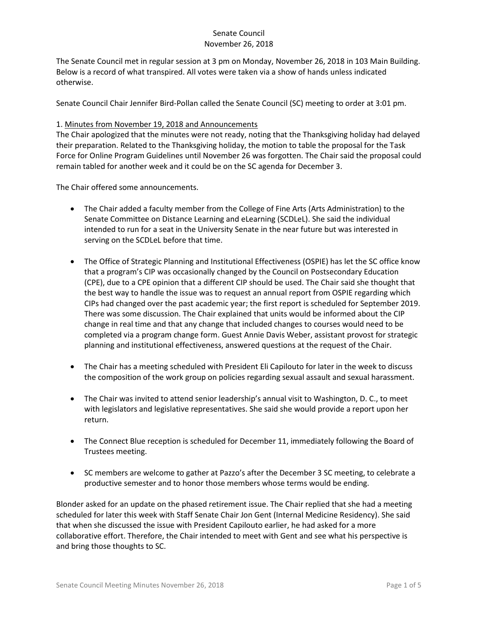The Senate Council met in regular session at 3 pm on Monday, November 26, 2018 in 103 Main Building. Below is a record of what transpired. All votes were taken via a show of hands unless indicated otherwise.

Senate Council Chair Jennifer Bird-Pollan called the Senate Council (SC) meeting to order at 3:01 pm.

### 1. Minutes from November 19, 2018 and Announcements

The Chair apologized that the minutes were not ready, noting that the Thanksgiving holiday had delayed their preparation. Related to the Thanksgiving holiday, the motion to table the proposal for the Task Force for Online Program Guidelines until November 26 was forgotten. The Chair said the proposal could remain tabled for another week and it could be on the SC agenda for December 3.

The Chair offered some announcements.

- The Chair added a faculty member from the College of Fine Arts (Arts Administration) to the Senate Committee on Distance Learning and eLearning (SCDLeL). She said the individual intended to run for a seat in the University Senate in the near future but was interested in serving on the SCDLeL before that time.
- The Office of Strategic Planning and Institutional Effectiveness (OSPIE) has let the SC office know that a program's CIP was occasionally changed by the Council on Postsecondary Education (CPE), due to a CPE opinion that a different CIP should be used. The Chair said she thought that the best way to handle the issue was to request an annual report from OSPIE regarding which CIPs had changed over the past academic year; the first report is scheduled for September 2019. There was some discussion. The Chair explained that units would be informed about the CIP change in real time and that any change that included changes to courses would need to be completed via a program change form. Guest Annie Davis Weber, assistant provost for strategic planning and institutional effectiveness, answered questions at the request of the Chair.
- The Chair has a meeting scheduled with President Eli Capilouto for later in the week to discuss the composition of the work group on policies regarding sexual assault and sexual harassment.
- The Chair was invited to attend senior leadership's annual visit to Washington, D. C., to meet with legislators and legislative representatives. She said she would provide a report upon her return.
- The Connect Blue reception is scheduled for December 11, immediately following the Board of Trustees meeting.
- SC members are welcome to gather at Pazzo's after the December 3 SC meeting, to celebrate a productive semester and to honor those members whose terms would be ending.

Blonder asked for an update on the phased retirement issue. The Chair replied that she had a meeting scheduled for later this week with Staff Senate Chair Jon Gent (Internal Medicine Residency). She said that when she discussed the issue with President Capilouto earlier, he had asked for a more collaborative effort. Therefore, the Chair intended to meet with Gent and see what his perspective is and bring those thoughts to SC.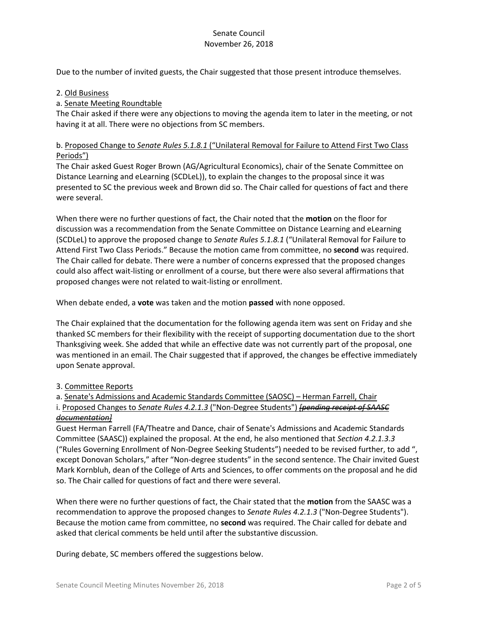Due to the number of invited guests, the Chair suggested that those present introduce themselves.

#### 2. Old Business

#### a. Senate Meeting Roundtable

The Chair asked if there were any objections to moving the agenda item to later in the meeting, or not having it at all. There were no objections from SC members.

### b. Proposed Change to *Senate Rules 5.1.8.1* ("Unilateral Removal for Failure to Attend First Two Class Periods")

The Chair asked Guest Roger Brown (AG/Agricultural Economics), chair of the Senate Committee on Distance Learning and eLearning (SCDLeL)), to explain the changes to the proposal since it was presented to SC the previous week and Brown did so. The Chair called for questions of fact and there were several.

When there were no further questions of fact, the Chair noted that the **motion** on the floor for discussion was a recommendation from the Senate Committee on Distance Learning and eLearning (SCDLeL) to approve the proposed change to *Senate Rules 5.1.8.1* ("Unilateral Removal for Failure to Attend First Two Class Periods." Because the motion came from committee, no **second** was required. The Chair called for debate. There were a number of concerns expressed that the proposed changes could also affect wait-listing or enrollment of a course, but there were also several affirmations that proposed changes were not related to wait-listing or enrollment.

When debate ended, a **vote** was taken and the motion **passed** with none opposed.

The Chair explained that the documentation for the following agenda item was sent on Friday and she thanked SC members for their flexibility with the receipt of supporting documentation due to the short Thanksgiving week. She added that while an effective date was not currently part of the proposal, one was mentioned in an email. The Chair suggested that if approved, the changes be effective immediately upon Senate approval.

### 3. Committee Reports

a. Senate's Admissions and Academic Standards Committee (SAOSC) – Herman Farrell, Chair i. Proposed Changes to *Senate Rules 4.2.1.3* ("Non-Degree Students") *[pending receipt of SAASC documentation]*

Guest Herman Farrell (FA/Theatre and Dance, chair of Senate's Admissions and Academic Standards Committee (SAASC)) explained the proposal. At the end, he also mentioned that *Section 4.2.1.3.3* ("Rules Governing Enrollment of Non-Degree Seeking Students") needed to be revised further, to add ", except Donovan Scholars," after "Non-degree students" in the second sentence. The Chair invited Guest Mark Kornbluh, dean of the College of Arts and Sciences, to offer comments on the proposal and he did so. The Chair called for questions of fact and there were several.

When there were no further questions of fact, the Chair stated that the **motion** from the SAASC was a recommendation to approve the proposed changes to *Senate Rules 4.2.1.3* ("Non-Degree Students"). Because the motion came from committee, no **second** was required. The Chair called for debate and asked that clerical comments be held until after the substantive discussion.

During debate, SC members offered the suggestions below.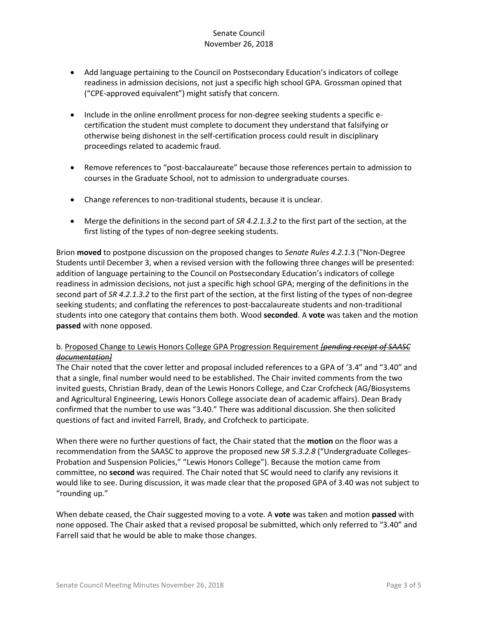- Add language pertaining to the Council on Postsecondary Education's indicators of college readiness in admission decisions, not just a specific high school GPA. Grossman opined that ("CPE-approved equivalent") might satisfy that concern.
- Include in the online enrollment process for non-degree seeking students a specific ecertification the student must complete to document they understand that falsifying or otherwise being dishonest in the self-certification process could result in disciplinary proceedings related to academic fraud.
- Remove references to "post-baccalaureate" because those references pertain to admission to courses in the Graduate School, not to admission to undergraduate courses.
- Change references to non-traditional students, because it is unclear.
- Merge the definitions in the second part of *SR 4.2.1.3.2* to the first part of the section, at the first listing of the types of non-degree seeking students.

Brion **moved** to postpone discussion on the proposed changes to *Senate Rules 4.2.1.*3 ("Non-Degree Students until December 3, when a revised version with the following three changes will be presented: addition of language pertaining to the Council on Postsecondary Education's indicators of college readiness in admission decisions, not just a specific high school GPA; merging of the definitions in the second part of *SR 4.2.1.3.2* to the first part of the section, at the first listing of the types of non-degree seeking students; and conflating the references to post-baccalaureate students and non-traditional students into one category that contains them both. Wood **seconded**. A **vote** was taken and the motion **passed** with none opposed.

### b. Proposed Change to Lewis Honors College GPA Progression Requirement *[pending receipt of SAASC documentation]*

The Chair noted that the cover letter and proposal included references to a GPA of '3.4" and "3.40" and that a single, final number would need to be established. The Chair invited comments from the two invited guests, Christian Brady, dean of the Lewis Honors College, and Czar Crofcheck (AG/Biosystems and Agricultural Engineering, Lewis Honors College associate dean of academic affairs). Dean Brady confirmed that the number to use was "3.40." There was additional discussion. She then solicited questions of fact and invited Farrell, Brady, and Crofcheck to participate.

When there were no further questions of fact, the Chair stated that the **motion** on the floor was a recommendation from the SAASC to approve the proposed new *SR 5.3.2.8* ("Undergraduate Colleges-Probation and Suspension Policies," "Lewis Honors College"). Because the motion came from committee, no **second** was required. The Chair noted that SC would need to clarify any revisions it would like to see. During discussion, it was made clear that the proposed GPA of 3.40 was not subject to "rounding up."

When debate ceased, the Chair suggested moving to a vote. A **vote** was taken and motion **passed** with none opposed. The Chair asked that a revised proposal be submitted, which only referred to "3.40" and Farrell said that he would be able to make those changes.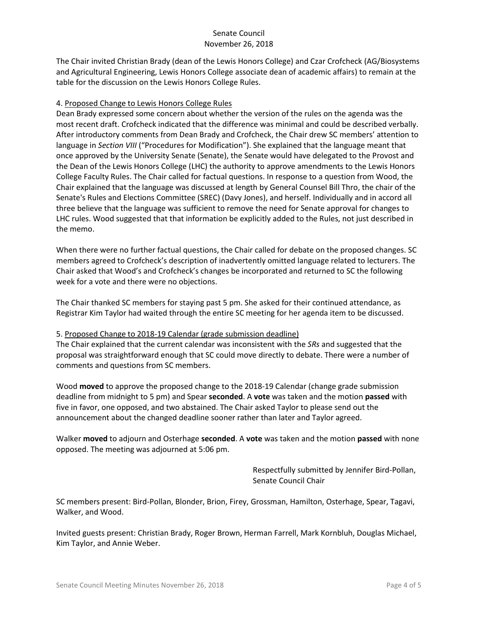The Chair invited Christian Brady (dean of the Lewis Honors College) and Czar Crofcheck (AG/Biosystems and Agricultural Engineering, Lewis Honors College associate dean of academic affairs) to remain at the table for the discussion on the Lewis Honors College Rules.

### 4. Proposed Change to Lewis Honors College Rules

Dean Brady expressed some concern about whether the version of the rules on the agenda was the most recent draft. Crofcheck indicated that the difference was minimal and could be described verbally. After introductory comments from Dean Brady and Crofcheck, the Chair drew SC members' attention to language in *Section VIII* ("Procedures for Modification"). She explained that the language meant that once approved by the University Senate (Senate), the Senate would have delegated to the Provost and the Dean of the Lewis Honors College (LHC) the authority to approve amendments to the Lewis Honors College Faculty Rules. The Chair called for factual questions. In response to a question from Wood, the Chair explained that the language was discussed at length by General Counsel Bill Thro, the chair of the Senate's Rules and Elections Committee (SREC) (Davy Jones), and herself. Individually and in accord all three believe that the language was sufficient to remove the need for Senate approval for changes to LHC rules. Wood suggested that that information be explicitly added to the Rules, not just described in the memo.

When there were no further factual questions, the Chair called for debate on the proposed changes. SC members agreed to Crofcheck's description of inadvertently omitted language related to lecturers. The Chair asked that Wood's and Crofcheck's changes be incorporated and returned to SC the following week for a vote and there were no objections.

The Chair thanked SC members for staying past 5 pm. She asked for their continued attendance, as Registrar Kim Taylor had waited through the entire SC meeting for her agenda item to be discussed.

### 5. Proposed Change to 2018-19 Calendar (grade submission deadline)

The Chair explained that the current calendar was inconsistent with the *SRs* and suggested that the proposal was straightforward enough that SC could move directly to debate. There were a number of comments and questions from SC members.

Wood **moved** to approve the proposed change to the 2018-19 Calendar (change grade submission deadline from midnight to 5 pm) and Spear **seconded**. A **vote** was taken and the motion **passed** with five in favor, one opposed, and two abstained. The Chair asked Taylor to please send out the announcement about the changed deadline sooner rather than later and Taylor agreed.

Walker **moved** to adjourn and Osterhage **seconded**. A **vote** was taken and the motion **passed** with none opposed. The meeting was adjourned at 5:06 pm.

> Respectfully submitted by Jennifer Bird-Pollan, Senate Council Chair

SC members present: Bird-Pollan, Blonder, Brion, Firey, Grossman, Hamilton, Osterhage, Spear, Tagavi, Walker, and Wood.

Invited guests present: Christian Brady, Roger Brown, Herman Farrell, Mark Kornbluh, Douglas Michael, Kim Taylor, and Annie Weber.